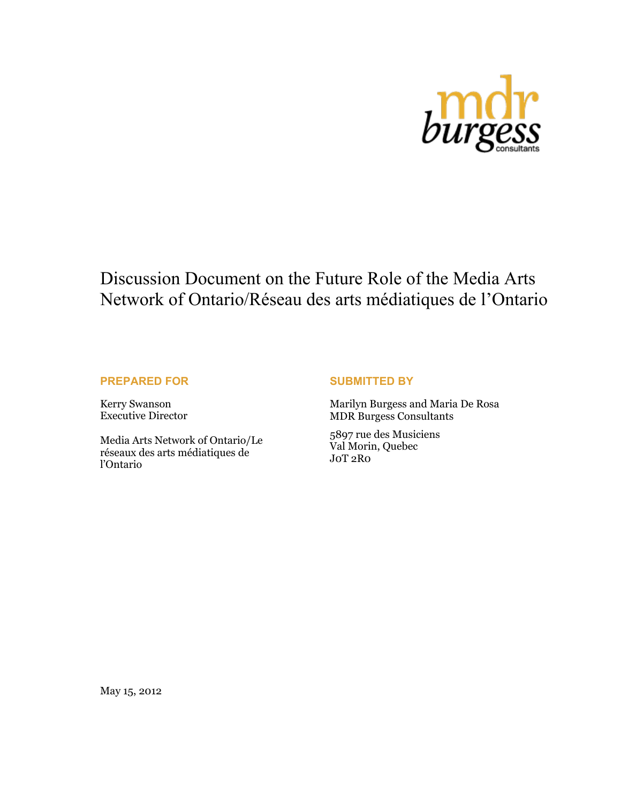

# Discussion Document on the Future Role of the Media Arts Network of Ontario/Réseau des arts médiatiques de l'Ontario

### **PREPARED FOR**

Kerry Swanson Executive Director

Media Arts Network of Ontario/Le réseaux des arts médiatiques de l'Ontario

#### **SUBMITTED BY**

Marilyn Burgess and Maria De Rosa MDR Burgess Consultants

5897 rue des Musiciens Val Morin, Quebec J0T 2R0

May 15, 2012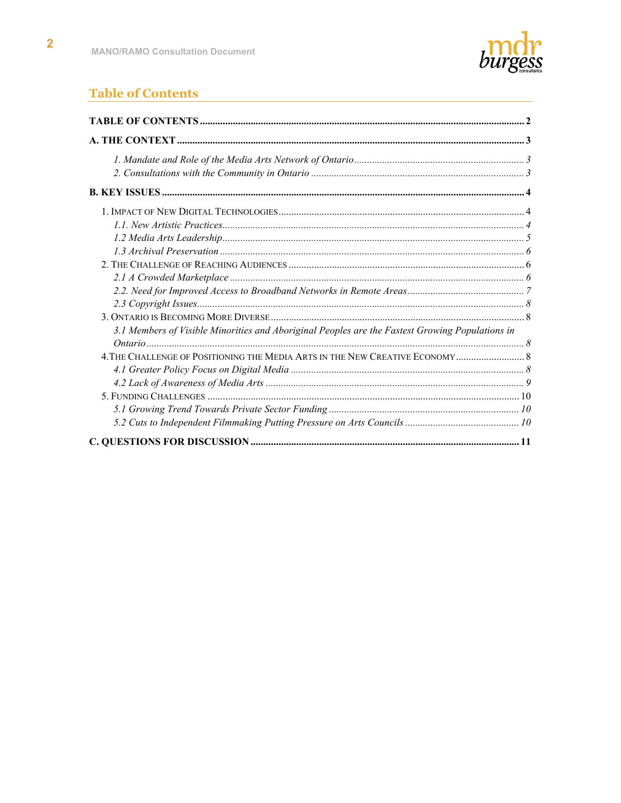

# **Table of Contents**

| 3.1 Members of Visible Minorities and Aboriginal Peoples are the Fastest Growing Populations in |  |
|-------------------------------------------------------------------------------------------------|--|
|                                                                                                 |  |
|                                                                                                 |  |
|                                                                                                 |  |
|                                                                                                 |  |
|                                                                                                 |  |
|                                                                                                 |  |
|                                                                                                 |  |
|                                                                                                 |  |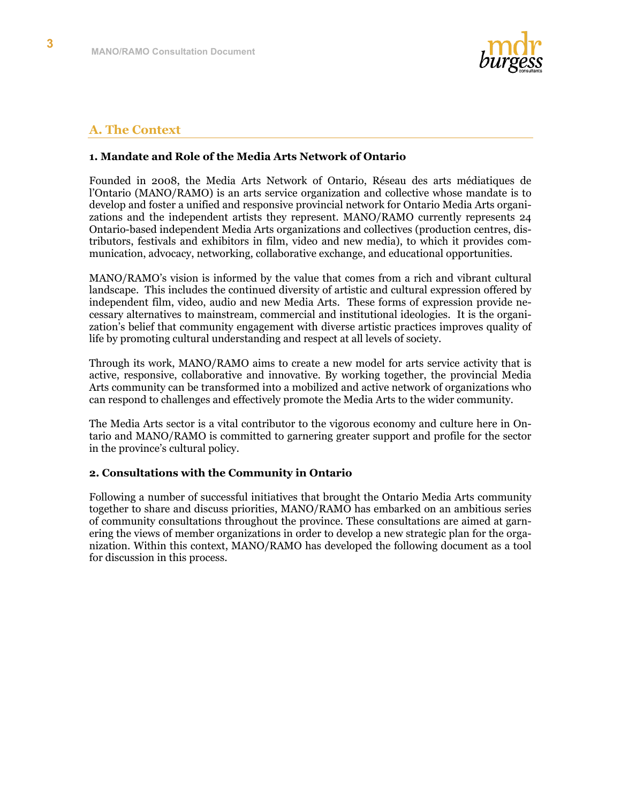

# **A. The Context**

#### **1. Mandate and Role of the Media Arts Network of Ontario**

Founded in 2008, the Media Arts Network of Ontario, Réseau des arts médiatiques de l'Ontario (MANO/RAMO) is an arts service organization and collective whose mandate is to develop and foster a unified and responsive provincial network for Ontario Media Arts organizations and the independent artists they represent. MANO/RAMO currently represents 24 Ontario-based independent Media Arts organizations and collectives (production centres, distributors, festivals and exhibitors in film, video and new media), to which it provides communication, advocacy, networking, collaborative exchange, and educational opportunities.

MANO/RAMO's vision is informed by the value that comes from a rich and vibrant cultural landscape. This includes the continued diversity of artistic and cultural expression offered by independent film, video, audio and new Media Arts. These forms of expression provide necessary alternatives to mainstream, commercial and institutional ideologies. It is the organization's belief that community engagement with diverse artistic practices improves quality of life by promoting cultural understanding and respect at all levels of society.

Through its work, MANO/RAMO aims to create a new model for arts service activity that is active, responsive, collaborative and innovative. By working together, the provincial Media Arts community can be transformed into a mobilized and active network of organizations who can respond to challenges and effectively promote the Media Arts to the wider community.

The Media Arts sector is a vital contributor to the vigorous economy and culture here in Ontario and MANO/RAMO is committed to garnering greater support and profile for the sector in the province's cultural policy.

#### **2. Consultations with the Community in Ontario**

Following a number of successful initiatives that brought the Ontario Media Arts community together to share and discuss priorities, MANO/RAMO has embarked on an ambitious series of community consultations throughout the province. These consultations are aimed at garnering the views of member organizations in order to develop a new strategic plan for the organization. Within this context, MANO/RAMO has developed the following document as a tool for discussion in this process.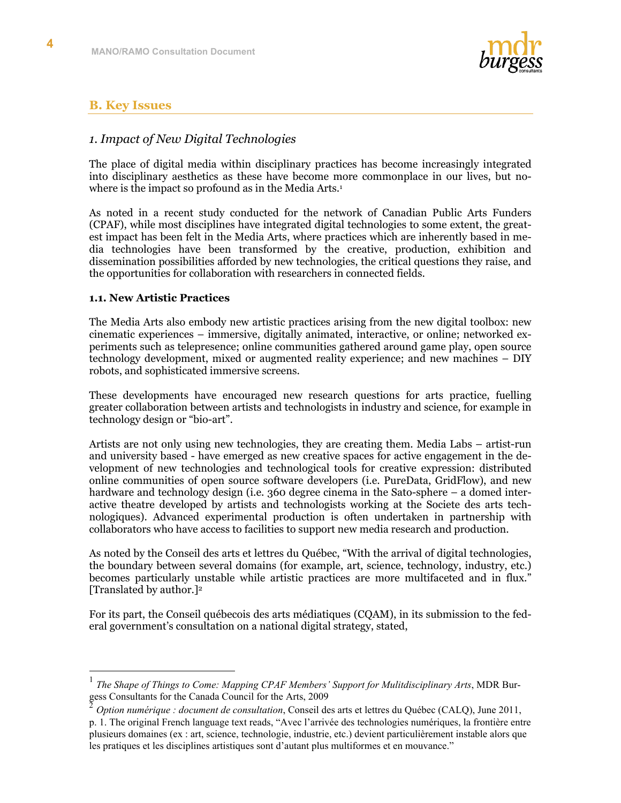

# **B. Key Issues**

# *1. Impact of New Digital Technologies*

The place of digital media within disciplinary practices has become increasingly integrated into disciplinary aesthetics as these have become more commonplace in our lives, but nowhere is the impact so profound as in the Media Arts.<sup>1</sup>

As noted in a recent study conducted for the network of Canadian Public Arts Funders (CPAF), while most disciplines have integrated digital technologies to some extent, the greatest impact has been felt in the Media Arts, where practices which are inherently based in media technologies have been transformed by the creative, production, exhibition and dissemination possibilities afforded by new technologies, the critical questions they raise, and the opportunities for collaboration with researchers in connected fields.

#### **1.1. New Artistic Practices**

The Media Arts also embody new artistic practices arising from the new digital toolbox: new cinematic experiences – immersive, digitally animated, interactive, or online; networked experiments such as telepresence; online communities gathered around game play, open source technology development, mixed or augmented reality experience; and new machines – DIY robots, and sophisticated immersive screens.

These developments have encouraged new research questions for arts practice, fuelling greater collaboration between artists and technologists in industry and science, for example in technology design or "bio-art".

Artists are not only using new technologies, they are creating them. Media Labs – artist-run and university based - have emerged as new creative spaces for active engagement in the development of new technologies and technological tools for creative expression: distributed online communities of open source software developers (i.e. PureData, GridFlow), and new hardware and technology design (i.e. 360 degree cinema in the Sato-sphere – a domed interactive theatre developed by artists and technologists working at the Societe des arts technologiques). Advanced experimental production is often undertaken in partnership with collaborators who have access to facilities to support new media research and production.

As noted by the Conseil des arts et lettres du Québec, "With the arrival of digital technologies, the boundary between several domains (for example, art, science, technology, industry, etc.) becomes particularly unstable while artistic practices are more multifaceted and in flux." [Translated by author.]2

For its part, the Conseil québecois des arts médiatiques (CQAM), in its submission to the federal government's consultation on a national digital strategy, stated,

 <sup>1</sup> *The Shape of Things to Come: Mapping CPAF Members' Support for Mulitdisciplinary Arts*, MDR Burgess Consultants for the Canada Council for the Arts, 2009

<sup>2</sup> *Option numérique : document de consultation*, Conseil des arts et lettres du Québec (CALQ), June 2011, p. 1. The original French language text reads, "Avec l'arrivée des technologies numériques, la frontière entre plusieurs domaines (ex : art, science, technologie, industrie, etc.) devient particulièrement instable alors que les pratiques et les disciplines artistiques sont d'autant plus multiformes et en mouvance."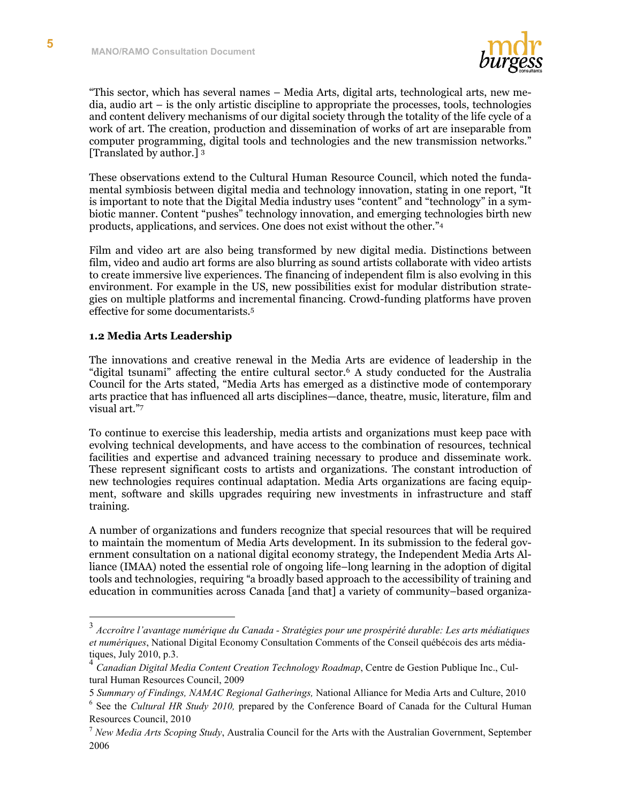

"This sector, which has several names – Media Arts, digital arts, technological arts, new media, audio art – is the only artistic discipline to appropriate the processes, tools, technologies and content delivery mechanisms of our digital society through the totality of the life cycle of a work of art. The creation, production and dissemination of works of art are inseparable from computer programming, digital tools and technologies and the new transmission networks." [Translated by author.] <sup>3</sup>

These observations extend to the Cultural Human Resource Council, which noted the fundamental symbiosis between digital media and technology innovation, stating in one report, "It is important to note that the Digital Media industry uses "content" and "technology" in a symbiotic manner. Content "pushes" technology innovation, and emerging technologies birth new products, applications, and services. One does not exist without the other."4

Film and video art are also being transformed by new digital media. Distinctions between film, video and audio art forms are also blurring as sound artists collaborate with video artists to create immersive live experiences. The financing of independent film is also evolving in this environment. For example in the US, new possibilities exist for modular distribution strategies on multiple platforms and incremental financing. Crowd-funding platforms have proven effective for some documentarists.5

#### **1.2 Media Arts Leadership**

The innovations and creative renewal in the Media Arts are evidence of leadership in the "digital tsunami" affecting the entire cultural sector.6 A study conducted for the Australia Council for the Arts stated, "Media Arts has emerged as a distinctive mode of contemporary arts practice that has influenced all arts disciplines—dance, theatre, music, literature, film and visual art."7

To continue to exercise this leadership, media artists and organizations must keep pace with evolving technical developments, and have access to the combination of resources, technical facilities and expertise and advanced training necessary to produce and disseminate work. These represent significant costs to artists and organizations. The constant introduction of new technologies requires continual adaptation. Media Arts organizations are facing equipment, software and skills upgrades requiring new investments in infrastructure and staff training.

A number of organizations and funders recognize that special resources that will be required to maintain the momentum of Media Arts development. In its submission to the federal government consultation on a national digital economy strategy, the Independent Media Arts Alliance (IMAA) noted the essential role of ongoing life–long learning in the adoption of digital tools and technologies, requiring "a broadly based approach to the accessibility of training and education in communities across Canada [and that] a variety of community–based organiza-

 <sup>3</sup> *Accroître l'avantage numérique du Canada - Stratégies pour une prospérité durable: Les arts médiatiques et numériques*, National Digital Economy Consultation Comments of the Conseil québécois des arts médiatiques, July 2010, p.3.

<sup>4</sup> *Canadian Digital Media Content Creation Technology Roadmap*, Centre de Gestion Publique Inc., Cultural Human Resources Council, 2009

<sup>5</sup> *Summary of Findings, NAMAC Regional Gatherings,* National Alliance for Media Arts and Culture, 2010

<sup>&</sup>lt;sup>6</sup> See the *Cultural HR Study 2010*, prepared by the Conference Board of Canada for the Cultural Human Resources Council, 2010

<sup>7</sup> *New Media Arts Scoping Study*, Australia Council for the Arts with the Australian Government, September 2006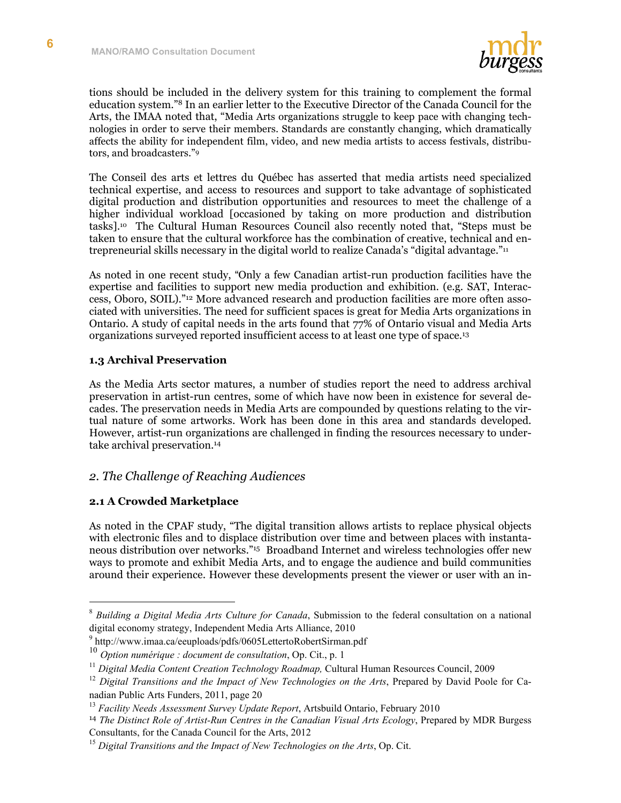

tions should be included in the delivery system for this training to complement the formal education system."8 In an earlier letter to the Executive Director of the Canada Council for the Arts, the IMAA noted that, "Media Arts organizations struggle to keep pace with changing technologies in order to serve their members. Standards are constantly changing, which dramatically affects the ability for independent film, video, and new media artists to access festivals, distributors, and broadcasters."9

The Conseil des arts et lettres du Québec has asserted that media artists need specialized technical expertise, and access to resources and support to take advantage of sophisticated digital production and distribution opportunities and resources to meet the challenge of a higher individual workload [occasioned by taking on more production and distribution tasks].10 The Cultural Human Resources Council also recently noted that, "Steps must be taken to ensure that the cultural workforce has the combination of creative, technical and entrepreneurial skills necessary in the digital world to realize Canada's "digital advantage."11

As noted in one recent study, "Only a few Canadian artist-run production facilities have the expertise and facilities to support new media production and exhibition. (e.g. SAT, Interaccess, Oboro, SOIL)."12 More advanced research and production facilities are more often associated with universities. The need for sufficient spaces is great for Media Arts organizations in Ontario. A study of capital needs in the arts found that 77% of Ontario visual and Media Arts organizations surveyed reported insufficient access to at least one type of space.13

#### **1.3 Archival Preservation**

As the Media Arts sector matures, a number of studies report the need to address archival preservation in artist-run centres, some of which have now been in existence for several decades. The preservation needs in Media Arts are compounded by questions relating to the virtual nature of some artworks. Work has been done in this area and standards developed. However, artist-run organizations are challenged in finding the resources necessary to undertake archival preservation.14

# *2. The Challenge of Reaching Audiences*

# **2.1 A Crowded Marketplace**

As noted in the CPAF study, "The digital transition allows artists to replace physical objects with electronic files and to displace distribution over time and between places with instantaneous distribution over networks."15 Broadband Internet and wireless technologies offer new ways to promote and exhibit Media Arts, and to engage the audience and build communities around their experience. However these developments present the viewer or user with an in-

 <sup>8</sup> *Building a Digital Media Arts Culture for Canada*, Submission to the federal consultation on a national digital economy strategy, Independent Media Arts Alliance, 2010

<sup>9</sup> http://www.imaa.ca/eeuploads/pdfs/0605LettertoRobertSirman.pdf

<sup>10</sup> *Option numérique : document de consultation*, Op. Cit., p. 1

<sup>11</sup> *Digital Media Content Creation Technology Roadmap,* Cultural Human Resources Council, 2009

<sup>&</sup>lt;sup>12</sup> Digital Transitions and the Impact of New Technologies on the Arts, Prepared by David Poole for Canadian Public Arts Funders, 2011, page 20

<sup>13</sup> *Facility Needs Assessment Survey Update Report*, Artsbuild Ontario, February 2010

<sup>14</sup> *The Distinct Role of Artist-Run Centres in the Canadian Visual Arts Ecology*, Prepared by MDR Burgess Consultants, for the Canada Council for the Arts, 2012

<sup>&</sup>lt;sup>15</sup> Digital Transitions and the Impact of New Technologies on the Arts, Op. Cit.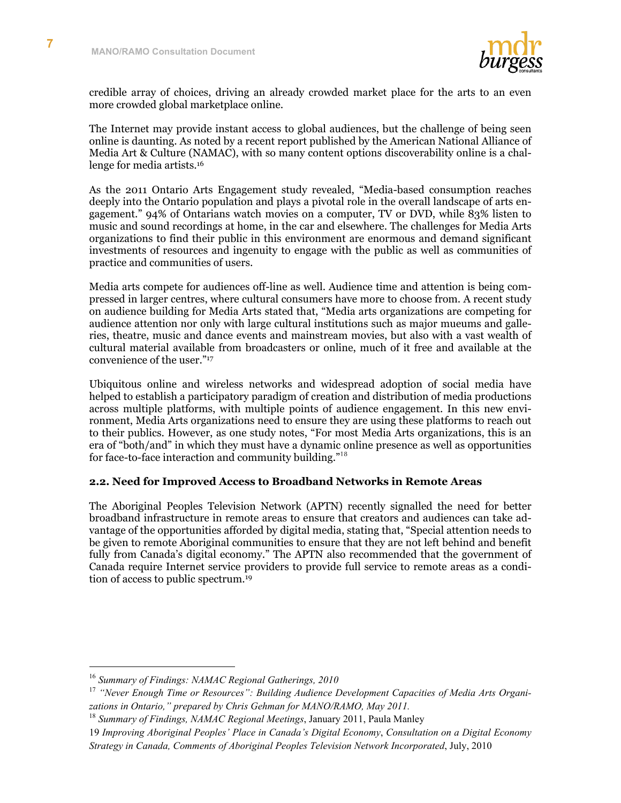

credible array of choices, driving an already crowded market place for the arts to an even more crowded global marketplace online.

The Internet may provide instant access to global audiences, but the challenge of being seen online is daunting. As noted by a recent report published by the American National Alliance of Media Art & Culture (NAMAC), with so many content options discoverability online is a challenge for media artists.16

As the 2011 Ontario Arts Engagement study revealed, "Media-based consumption reaches deeply into the Ontario population and plays a pivotal role in the overall landscape of arts engagement." 94% of Ontarians watch movies on a computer, TV or DVD, while 83% listen to music and sound recordings at home, in the car and elsewhere. The challenges for Media Arts organizations to find their public in this environment are enormous and demand significant investments of resources and ingenuity to engage with the public as well as communities of practice and communities of users.

Media arts compete for audiences off-line as well. Audience time and attention is being compressed in larger centres, where cultural consumers have more to choose from. A recent study on audience building for Media Arts stated that, "Media arts organizations are competing for audience attention nor only with large cultural institutions such as major mueums and galleries, theatre, music and dance events and mainstream movies, but also with a vast wealth of cultural material available from broadcasters or online, much of it free and available at the convenience of the user."17

Ubiquitous online and wireless networks and widespread adoption of social media have helped to establish a participatory paradigm of creation and distribution of media productions across multiple platforms, with multiple points of audience engagement. In this new environment, Media Arts organizations need to ensure they are using these platforms to reach out to their publics. However, as one study notes, "For most Media Arts organizations, this is an era of "both/and" in which they must have a dynamic online presence as well as opportunities for face-to-face interaction and community building."<sup>18</sup>

#### **2.2. Need for Improved Access to Broadband Networks in Remote Areas**

The Aboriginal Peoples Television Network (APTN) recently signalled the need for better broadband infrastructure in remote areas to ensure that creators and audiences can take advantage of the opportunities afforded by digital media, stating that, "Special attention needs to be given to remote Aboriginal communities to ensure that they are not left behind and benefit fully from Canada's digital economy." The APTN also recommended that the government of Canada require Internet service providers to provide full service to remote areas as a condition of access to public spectrum.19

 <sup>16</sup> *Summary of Findings: NAMAC Regional Gatherings, 2010*

<sup>&</sup>lt;sup>17</sup> "Never Enough Time or Resources": Building Audience Development Capacities of Media Arts Organi*zations in Ontario," prepared by Chris Gehman for MANO/RAMO, May 2011.* 

<sup>18</sup> *Summary of Findings, NAMAC Regional Meetings*, January 2011, Paula Manley

<sup>19</sup> *Improving Aboriginal Peoples' Place in Canada's Digital Economy*, *Consultation on a Digital Economy Strategy in Canada, Comments of Aboriginal Peoples Television Network Incorporated*, July, 2010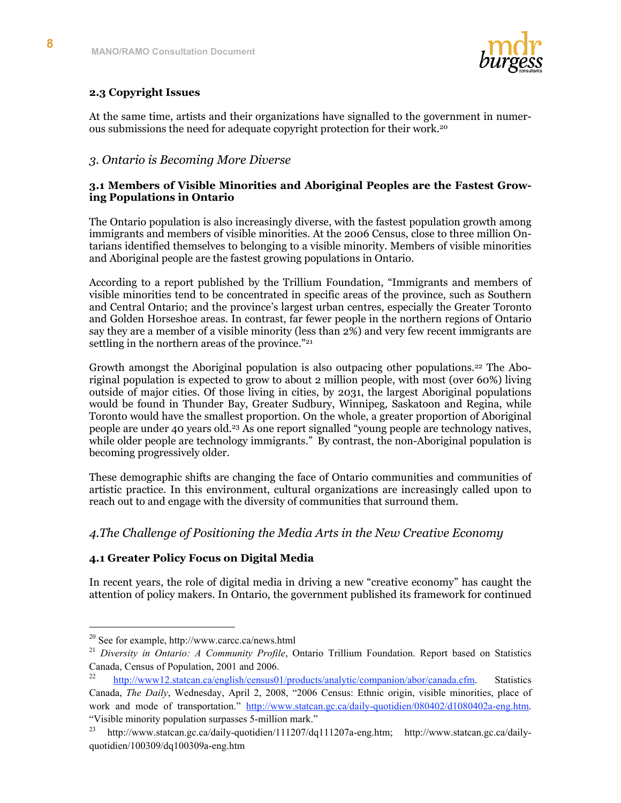

# **2.3 Copyright Issues**

At the same time, artists and their organizations have signalled to the government in numerous submissions the need for adequate copyright protection for their work.20

# *3. Ontario is Becoming More Diverse*

#### **3.1 Members of Visible Minorities and Aboriginal Peoples are the Fastest Growing Populations in Ontario**

The Ontario population is also increasingly diverse, with the fastest population growth among immigrants and members of visible minorities. At the 2006 Census, close to three million Ontarians identified themselves to belonging to a visible minority. Members of visible minorities and Aboriginal people are the fastest growing populations in Ontario.

According to a report published by the Trillium Foundation, "Immigrants and members of visible minorities tend to be concentrated in specific areas of the province, such as Southern and Central Ontario; and the province's largest urban centres, especially the Greater Toronto and Golden Horseshoe areas. In contrast, far fewer people in the northern regions of Ontario say they are a member of a visible minority (less than 2%) and very few recent immigrants are settling in the northern areas of the province."<sup>21</sup>

Growth amongst the Aboriginal population is also outpacing other populations.<sup>22</sup> The Aboriginal population is expected to grow to about 2 million people, with most (over 60%) living outside of major cities. Of those living in cities, by 2031, the largest Aboriginal populations would be found in Thunder Bay, Greater Sudbury, Winnipeg, Saskatoon and Regina, while Toronto would have the smallest proportion. On the whole, a greater proportion of Aboriginal people are under 40 years old.23 As one report signalled "young people are technology natives, while older people are technology immigrants." By contrast, the non-Aboriginal population is becoming progressively older.

These demographic shifts are changing the face of Ontario communities and communities of artistic practice. In this environment, cultural organizations are increasingly called upon to reach out to and engage with the diversity of communities that surround them.

# *4.The Challenge of Positioning the Media Arts in the New Creative Economy*

# **4.1 Greater Policy Focus on Digital Media**

In recent years, the role of digital media in driving a new "creative economy" has caught the attention of policy makers. In Ontario, the government published its framework for continued

 <sup>20</sup> See for example, http://www.carcc.ca/news.html

<sup>&</sup>lt;sup>21</sup> Diversity in Ontario: A Community Profile, Ontario Trillium Foundation. Report based on Statistics Canada, Census of Population, 2001 and 2006.

http://www12.statcan.ca/english/census01/products/analytic/companion/abor/canada.cfm. Statistics Canada, *The Daily*, Wednesday, April 2, 2008, "2006 Census: Ethnic origin, visible minorities, place of work and mode of transportation." http://www.statcan.gc.ca/daily-quotidien/080402/d1080402a-eng.htm. "Visible minority population surpasses 5-million mark."

<sup>&</sup>lt;sup>23</sup> http://www.statcan.gc.ca/daily-quotidien/111207/dq111207a-eng.htm; http://www.statcan.gc.ca/dailyquotidien/100309/dq100309a-eng.htm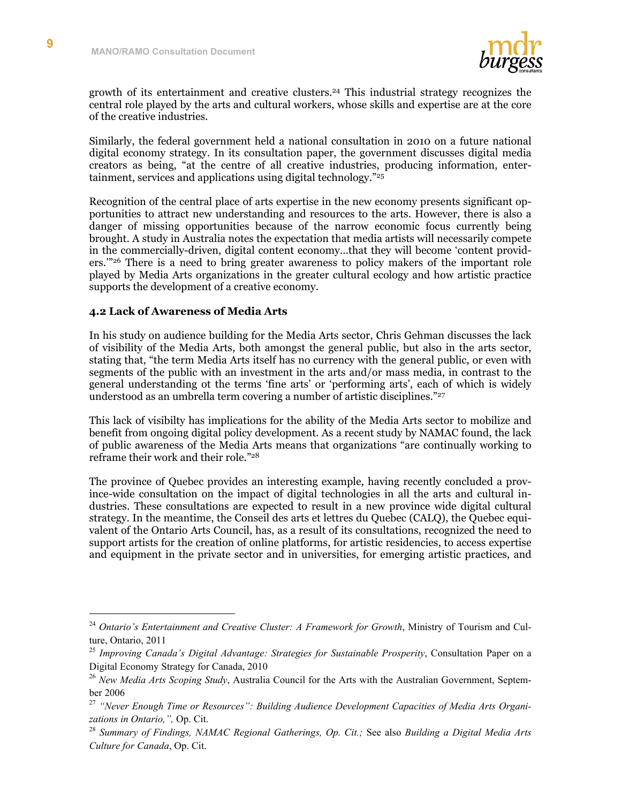

growth of its entertainment and creative clusters.24 This industrial strategy recognizes the central role played by the arts and cultural workers, whose skills and expertise are at the core of the creative industries.

Similarly, the federal government held a national consultation in 2010 on a future national digital economy strategy. In its consultation paper, the government discusses digital media creators as being, "at the centre of all creative industries, producing information, entertainment, services and applications using digital technology."25

Recognition of the central place of arts expertise in the new economy presents significant opportunities to attract new understanding and resources to the arts. However, there is also a danger of missing opportunities because of the narrow economic focus currently being brought. A study in Australia notes the expectation that media artists will necessarily compete in the commercially-driven, digital content economy…that they will become 'content providers.'"26 There is a need to bring greater awareness to policy makers of the important role played by Media Arts organizations in the greater cultural ecology and how artistic practice supports the development of a creative economy.

#### **4.2 Lack of Awareness of Media Arts**

In his study on audience building for the Media Arts sector, Chris Gehman discusses the lack of visibility of the Media Arts, both amongst the general public, but also in the arts sector, stating that, "the term Media Arts itself has no currency with the general public, or even with segments of the public with an investment in the arts and/or mass media, in contrast to the general understanding ot the terms 'fine arts' or 'performing arts', each of which is widely understood as an umbrella term covering a number of artistic disciplines."<sup>27</sup>

This lack of visibilty has implications for the ability of the Media Arts sector to mobilize and benefit from ongoing digital policy development. As a recent study by NAMAC found, the lack of public awareness of the Media Arts means that organizations "are continually working to reframe their work and their role."28

The province of Quebec provides an interesting example, having recently concluded a province-wide consultation on the impact of digital technologies in all the arts and cultural industries. These consultations are expected to result in a new province wide digital cultural strategy. In the meantime, the Conseil des arts et lettres du Quebec (CALQ), the Quebec equivalent of the Ontario Arts Council, has, as a result of its consultations, recognized the need to support artists for the creation of online platforms, for artistic residencies, to access expertise and equipment in the private sector and in universities, for emerging artistic practices, and

 <sup>24</sup> *Ontario's Entertainment and Creative Cluster: A Framework for Growth*, Ministry of Tourism and Culture, Ontario, 2011

<sup>25</sup> *Improving Canada's Digital Advantage: Strategies for Sustainable Prosperity*, Consultation Paper on a Digital Economy Strategy for Canada, 2010

<sup>26</sup> *New Media Arts Scoping Study*, Australia Council for the Arts with the Australian Government, September 2006

<sup>27</sup> *"Never Enough Time or Resources": Building Audience Development Capacities of Media Arts Organizations in Ontario,",* Op. Cit.

<sup>28</sup> *Summary of Findings, NAMAC Regional Gatherings, Op. Cit.;* See also *Building a Digital Media Arts Culture for Canada*, Op. Cit.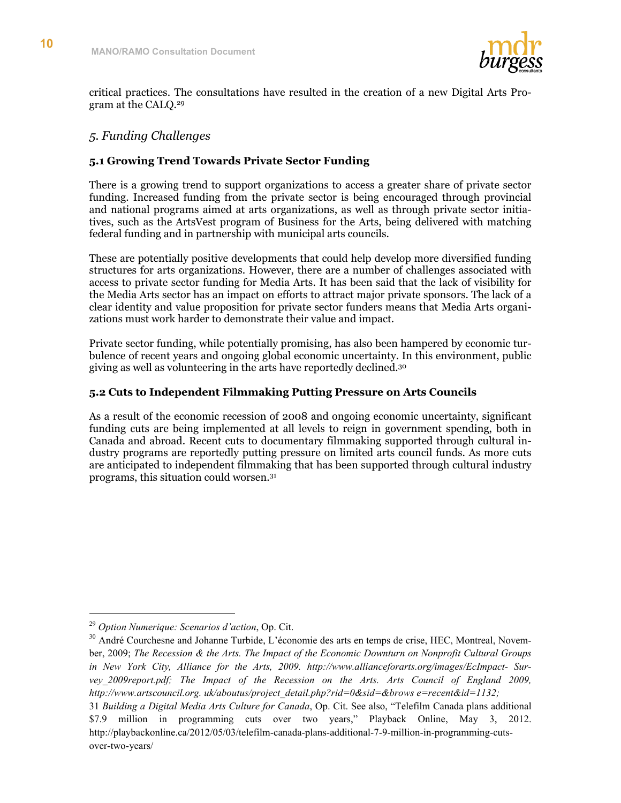

critical practices. The consultations have resulted in the creation of a new Digital Arts Program at the CALQ.29

# *5. Funding Challenges*

#### **5.1 Growing Trend Towards Private Sector Funding**

There is a growing trend to support organizations to access a greater share of private sector funding. Increased funding from the private sector is being encouraged through provincial and national programs aimed at arts organizations, as well as through private sector initiatives, such as the ArtsVest program of Business for the Arts, being delivered with matching federal funding and in partnership with municipal arts councils.

These are potentially positive developments that could help develop more diversified funding structures for arts organizations. However, there are a number of challenges associated with access to private sector funding for Media Arts. It has been said that the lack of visibility for the Media Arts sector has an impact on efforts to attract major private sponsors. The lack of a clear identity and value proposition for private sector funders means that Media Arts organizations must work harder to demonstrate their value and impact.

Private sector funding, while potentially promising, has also been hampered by economic turbulence of recent years and ongoing global economic uncertainty. In this environment, public giving as well as volunteering in the arts have reportedly declined.30

#### **5.2 Cuts to Independent Filmmaking Putting Pressure on Arts Councils**

As a result of the economic recession of 2008 and ongoing economic uncertainty, significant funding cuts are being implemented at all levels to reign in government spending, both in Canada and abroad. Recent cuts to documentary filmmaking supported through cultural industry programs are reportedly putting pressure on limited arts council funds. As more cuts are anticipated to independent filmmaking that has been supported through cultural industry programs, this situation could worsen.31

 <sup>29</sup> *Option Numerique: Scenarios d'action*, Op. Cit.

<sup>&</sup>lt;sup>30</sup> André Courchesne and Johanne Turbide, L'économie des arts en temps de crise, HEC, Montreal, November, 2009; *The Recession & the Arts. The Impact of the Economic Downturn on Nonprofit Cultural Groups in New York City, Alliance for the Arts, 2009. http://www.allianceforarts.org/images/EcImpact- Survey\_2009report.pdf; The Impact of the Recession on the Arts. Arts Council of England 2009, http://www.artscouncil.org. uk/aboutus/project\_detail.php?rid=0&sid=&brows e=recent&id=1132;*

<sup>31</sup> *Building a Digital Media Arts Culture for Canada*, Op. Cit. See also, "Telefilm Canada plans additional \$7.9 million in programming cuts over two years," Playback Online, May 3, 2012. http://playbackonline.ca/2012/05/03/telefilm-canada-plans-additional-7-9-million-in-programming-cutsover-two-years/